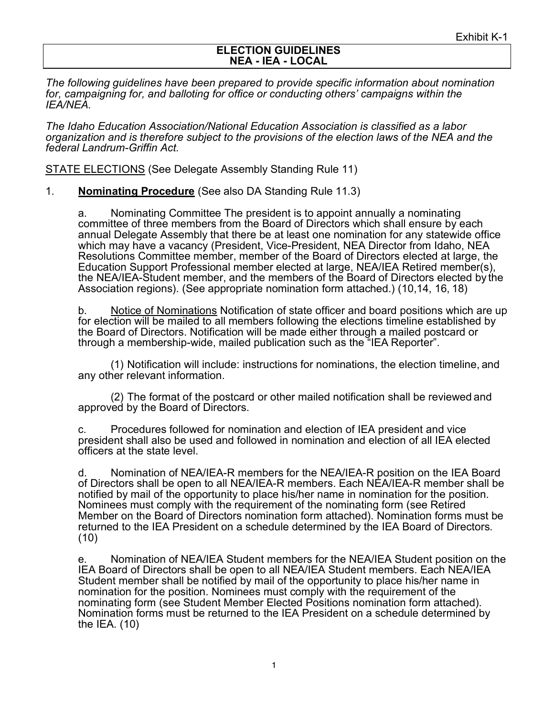#### **ELECTION GUIDELINES NEA - IEA - LOCAL**

*The following guidelines have been prepared to provide specific information about nomination for, campaigning for, and balloting for office or conducting others' campaigns within the IEA/NEA.*

*The Idaho Education Association/National Education Association is classified as a labor organization and is therefore subject to the provisions of the election laws of the NEA and the federal Landrum-Griffin Act.*

STATE ELECTIONS (See Delegate Assembly Standing Rule 11)

1. **Nominating Procedure** (See also DA Standing Rule 11.3)

a. Nominating Committee The president is to appoint annually a nominating committee of three members from the Board of Directors which shall ensure by each annual Delegate Assembly that there be at least one nomination for any statewide office which may have a vacancy (President, Vice-President, NEA Director from Idaho, NEA Resolutions Committee member, member of the Board of Directors elected at large, the Education Support Professional member elected at large, NEA/IEA Retired member(s), the NEA/IEA-Student member, and the members of the Board of Directors elected by the Association regions). (See appropriate nomination form attached.) (10,14, 16, 18)

b. Notice of Nominations Notification of state officer and board positions which are up for election will be mailed to all members following the elections timeline established by the Board of Directors. Notification will be made either through a mailed postcard or through a membership-wide, mailed publication such as the "IEA Reporter".

(1) Notification will include: instructions for nominations, the election timeline, and any other relevant information.

(2) The format of the postcard or other mailed notification shall be reviewed and approved by the Board of Directors.

c. Procedures followed for nomination and election of IEA president and vice president shall also be used and followed in nomination and election of all IEA elected officers at the state level.

d. Nomination of NEA/IEA-R members for the NEA/IEA-R position on the IEA Board of Directors shall be open to all NEA/IEA-R members. Each NEA/IEA-R member shall be notified by mail of the opportunity to place his/her name in nomination for the position. Nominees must comply with the requirement of the nominating form (see Retired Member on the Board of Directors nomination form attached). Nomination forms must be returned to the IEA President on a schedule determined by the IEA Board of Directors. (10)

e. Nomination of NEA/IEA Student members for the NEA/IEA Student position on the IEA Board of Directors shall be open to all NEA/IEA Student members. Each NEA/IEA Student member shall be notified by mail of the opportunity to place his/her name in nomination for the position. Nominees must comply with the requirement of the nominating form (see Student Member Elected Positions nomination form attached). Nomination forms must be returned to the IEA President on a schedule determined by the IEA. (10)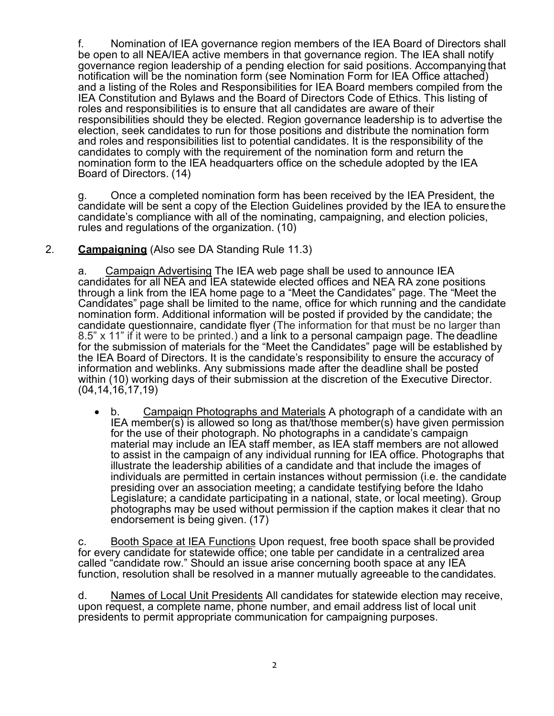f. Nomination of IEA governance region members of the IEA Board of Directors shall be open to all NEA/IEA active members in that governance region. The IEA shall notify governance region leadership of a pending election for said positions. Accompanying that notification will be the nomination form (see Nomination Form for IEA Office attached) and a listing of the Roles and Responsibilities for IEA Board members compiled from the IEA Constitution and Bylaws and the Board of Directors Code of Ethics. This listing of roles and responsibilities is to ensure that all candidates are aware of their responsibilities should they be elected. Region governance leadership is to advertise the election, seek candidates to run for those positions and distribute the nomination form and roles and responsibilities list to potential candidates. It is the responsibility of the candidates to comply with the requirement of the nomination form and return the nomination form to the IEA headquarters office on the schedule adopted by the IEA Board of Directors. (14)

g. Once a completed nomination form has been received by the IEA President, the candidate will be sent a copy of the Election Guidelines provided by the IEA to ensurethe candidate's compliance with all of the nominating, campaigning, and election policies, rules and regulations of the organization. (10)

# 2. **Campaigning** (Also see DA Standing Rule 11.3)

a. Campaign Advertising The IEA web page shall be used to announce IEA candidates for all NEA and IEA statewide elected offices and NEA RA zone positions through a link from the IEA home page to a "Meet the Candidates" page. The "Meet the Candidates" page shall be limited to the name, office for which running and the candidate nomination form. Additional information will be posted if provided by the candidate; the candidate questionnaire, candidate flyer (The information for that must be no larger than 8.5" x 11" if it were to be printed.) and a link to a personal campaign page. The deadline for the submission of materials for the "Meet the Candidates" page will be established by the IEA Board of Directors. It is the candidate's responsibility to ensure the accuracy of information and weblinks. Any submissions made after the deadline shall be posted within (10) working days of their submission at the discretion of the Executive Director. (04,14,16,17,19)

• b. Campaign Photographs and Materials A photograph of a candidate with an IEA member(s) is allowed so long as that/those member(s) have given permission for the use of their photograph. No photographs in a candidate's campaign material may include an IEA staff member, as IEA staff members are not allowed to assist in the campaign of any individual running for IEA office. Photographs that illustrate the leadership abilities of a candidate and that include the images of individuals are permitted in certain instances without permission (i.e. the candidate presiding over an association meeting; a candidate testifying before the Idaho Legislature; a candidate participating in a national, state, or local meeting). Group photographs may be used without permission if the caption makes it clear that no endorsement is being given. (17)

c. Booth Space at IEA Functions Upon request, free booth space shall be provided for every candidate for statewide office; one table per candidate in a centralized area called "candidate row." Should an issue arise concerning booth space at any IEA function, resolution shall be resolved in a manner mutually agreeable to the candidates.

d. Names of Local Unit Presidents All candidates for statewide election may receive, upon request, a complete name, phone number, and email address list of local unit presidents to permit appropriate communication for campaigning purposes.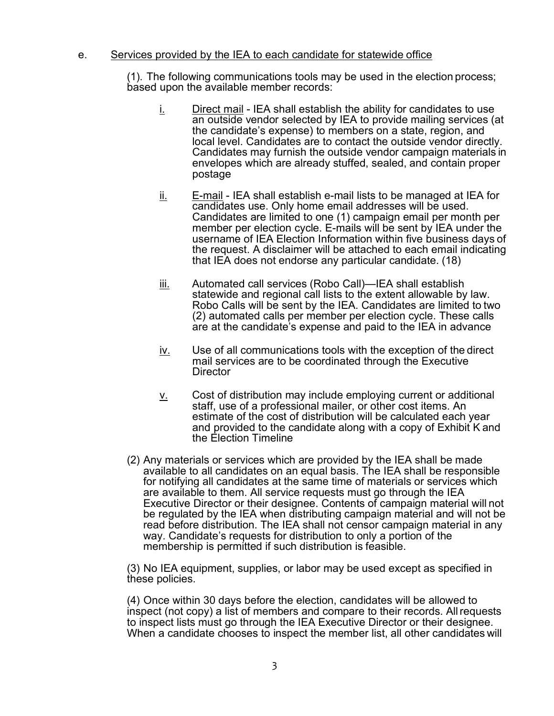### e. Services provided by the IEA to each candidate for statewide office

(1). The following communications tools may be used in the election process; based upon the available member records:

- $i.$  Direct mail IEA shall establish the ability for candidates to use an outside vendor selected by IEA to provide mailing services (at the candidate's expense) to members on a state, region, and local level. Candidates are to contact the outside vendor directly. Candidates may furnish the outside vendor campaign materials in envelopes which are already stuffed, sealed, and contain proper postage
- $\underline{\mathsf{ii}}$ . E-mail IEA shall establish e-mail lists to be managed at IEA for candidates use. Only home email addresses will be used. Candidates are limited to one (1) campaign email per month per member per election cycle. E-mails will be sent by IEA under the username of IEA Election Information within five business days of the request. A disclaimer will be attached to each email indicating that IEA does not endorse any particular candidate. (18)
- iii. Automated call services (Robo Call)—IEA shall establish statewide and regional call lists to the extent allowable by law. Robo Calls will be sent by the IEA. Candidates are limited to two (2) automated calls per member per election cycle. These calls are at the candidate's expense and paid to the IEA in advance
- $iv$ . Use of all communications tools with the exception of the direct</u> mail services are to be coordinated through the Executive **Director**
- $\underline{v}$ . Cost of distribution may include employing current or additional staff, use of a professional mailer, or other cost items. An estimate of the cost of distribution will be calculated each year and provided to the candidate along with a copy of Exhibit K and the Election Timeline
- (2) Any materials or services which are provided by the IEA shall be made available to all candidates on an equal basis. The IEA shall be responsible for notifying all candidates at the same time of materials or services which are available to them. All service requests must go through the IEA Executive Director or their designee. Contents of campaign material will not be regulated by the IEA when distributing campaign material and will not be read before distribution. The IEA shall not censor campaign material in any way. Candidate's requests for distribution to only a portion of the membership is permitted if such distribution is feasible.

(3) No IEA equipment, supplies, or labor may be used except as specified in these policies.

(4) Once within 30 days before the election, candidates will be allowed to inspect (not copy) a list of members and compare to their records. Allrequests to inspect lists must go through the IEA Executive Director or their designee. When a candidate chooses to inspect the member list, all other candidates will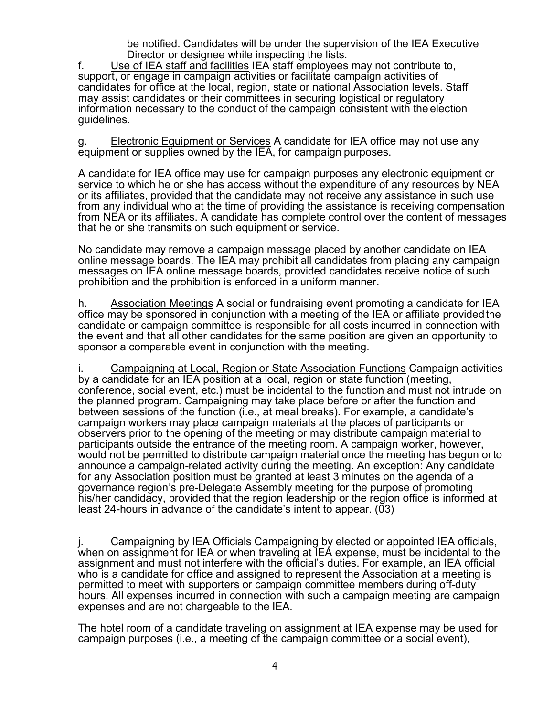be notified. Candidates will be under the supervision of the IEA Executive Director or designee while inspecting the lists.

f. Use of IEA staff and facilities IEA staff employees may not contribute to, support, or engage in campaign activities or facilitate campaign activities of candidates for office at the local, region, state or national Association levels. Staff may assist candidates or their committees in securing logistical or regulatory information necessary to the conduct of the campaign consistent with the election guidelines.

g. Electronic Equipment or Services A candidate for IEA office may not use any equipment or supplies owned by the IEA, for campaign purposes.

A candidate for IEA office may use for campaign purposes any electronic equipment or service to which he or she has access without the expenditure of any resources by NEA or its affiliates, provided that the candidate may not receive any assistance in such use from any individual who at the time of providing the assistance is receiving compensation from NEA or its affiliates. A candidate has complete control over the content of messages that he or she transmits on such equipment or service.

No candidate may remove a campaign message placed by another candidate on IEA online message boards. The IEA may prohibit all candidates from placing any campaign messages on IEA online message boards, provided candidates receive notice of such prohibition and the prohibition is enforced in a uniform manner.

h. Association Meetings A social or fundraising event promoting a candidate for IEA office may be sponsored in conjunction with a meeting of the IEA or affiliate providedthe candidate or campaign committee is responsible for all costs incurred in connection with the event and that all other candidates for the same position are given an opportunity to sponsor a comparable event in conjunction with the meeting.

i. Campaigning at Local, Region or State Association Functions Campaign activities by a candidate for an IEA position at a local, region or state function (meeting, conference, social event, etc.) must be incidental to the function and must not intrude on the planned program. Campaigning may take place before or after the function and between sessions of the function (i.e., at meal breaks). For example, a candidate's campaign workers may place campaign materials at the places of participants or observers prior to the opening of the meeting or may distribute campaign material to participants outside the entrance of the meeting room. A campaign worker, however, would not be permitted to distribute campaign material once the meeting has begun orto announce a campaign-related activity during the meeting. An exception: Any candidate for any Association position must be granted at least 3 minutes on the agenda of a governance region's pre-Delegate Assembly meeting for the purpose of promoting his/her candidacy, provided that the region leadership or the region office is informed at least 24-hours in advance of the candidate's intent to appear. (03)

Campaigning by IEA Officials Campaigning by elected or appointed IEA officials, when on assignment for IEA or when traveling at IEA expense, must be incidental to the assignment and must not interfere with the official's duties. For example, an IEA official who is a candidate for office and assigned to represent the Association at a meeting is permitted to meet with supporters or campaign committee members during off-duty hours. All expenses incurred in connection with such a campaign meeting are campaign expenses and are not chargeable to the IEA.

The hotel room of a candidate traveling on assignment at IEA expense may be used for campaign purposes (i.e., a meeting of the campaign committee or a social event),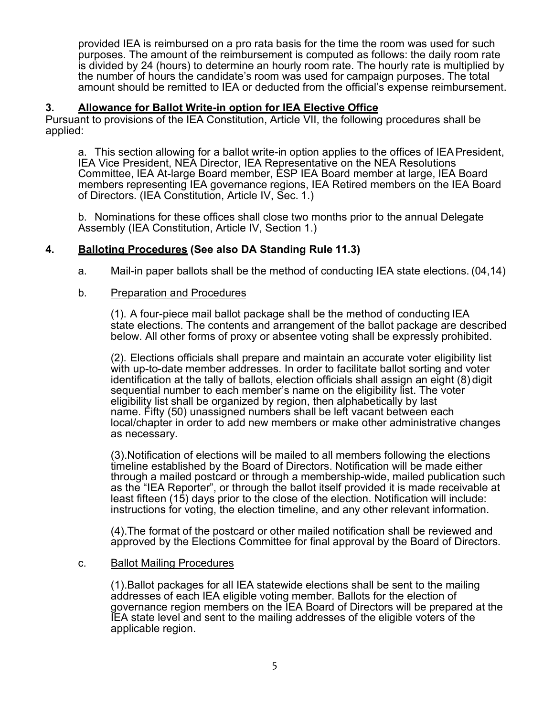provided IEA is reimbursed on a pro rata basis for the time the room was used for such purposes. The amount of the reimbursement is computed as follows: the daily room rate is divided by 24 (hours) to determine an hourly room rate. The hourly rate is multiplied by the number of hours the candidate's room was used for campaign purposes. The total amount should be remitted to IEA or deducted from the official's expense reimbursement.

## **3. Allowance for Ballot Write-in option for IEA Elective Office**

Pursuant to provisions of the IEA Constitution, Article VII, the following procedures shall be applied:

a. This section allowing for a ballot write-in option applies to the offices of IEAPresident, IEA Vice President, NEA Director, IEA Representative on the NEA Resolutions Committee, IEA At-large Board member, ESP IEA Board member at large, IEA Board members representing IEA governance regions, IEA Retired members on the IEA Board of Directors. (IEA Constitution, Article IV, Sec. 1.)

b. Nominations for these offices shall close two months prior to the annual Delegate Assembly (IEA Constitution, Article IV, Section 1.)

# **4. Balloting Procedures (See also DA Standing Rule 11.3)**

a. Mail-in paper ballots shall be the method of conducting IEA state elections. (04,14)

### b. Preparation and Procedures

(1). A four-piece mail ballot package shall be the method of conducting IEA state elections. The contents and arrangement of the ballot package are described below. All other forms of proxy or absentee voting shall be expressly prohibited.

(2). Elections officials shall prepare and maintain an accurate voter eligibility list with up-to-date member addresses. In order to facilitate ballot sorting and voter identification at the tally of ballots, election officials shall assign an eight (8) digit sequential number to each member's name on the eligibility list. The voter eligibility list shall be organized by region, then alphabetically by last name. Fifty (50) unassigned numbers shall be left vacant between each local/chapter in order to add new members or make other administrative changes as necessary.

(3).Notification of elections will be mailed to all members following the elections timeline established by the Board of Directors. Notification will be made either through a mailed postcard or through a membership-wide, mailed publication such as the "IEA Reporter", or through the ballot itself provided it is made receivable at least fifteen (15) days prior to the close of the election. Notification will include: instructions for voting, the election timeline, and any other relevant information.

(4).The format of the postcard or other mailed notification shall be reviewed and approved by the Elections Committee for final approval by the Board of Directors.

### c. Ballot Mailing Procedures

(1).Ballot packages for all IEA statewide elections shall be sent to the mailing addresses of each IEA eligible voting member. Ballots for the election of governance region members on the IEA Board of Directors will be prepared at the IEA state level and sent to the mailing addresses of the eligible voters of the applicable region.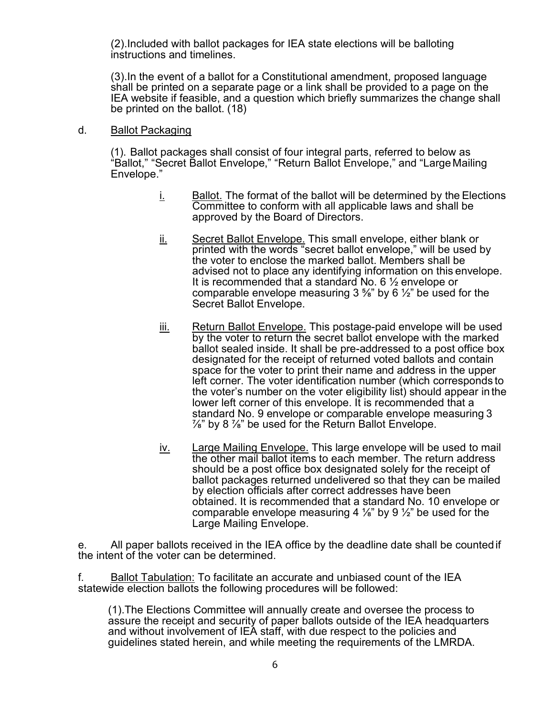(2).Included with ballot packages for IEA state elections will be balloting instructions and timelines.

(3).In the event of a ballot for a Constitutional amendment, proposed language shall be printed on a separate page or a link shall be provided to a page on the IEA website if feasible, and a question which briefly summarizes the change shall be printed on the ballot. (18)

#### d. Ballot Packaging

(1). Ballot packages shall consist of four integral parts, referred to below as "Ballot," "Secret Ballot Envelope," "Return Ballot Envelope," and "Large Mailing Envelope."

- $i$  Ballot. The format of the ballot will be determined by the Elections Committee to conform with all applicable laws and shall be approved by the Board of Directors.
- ii. Secret Ballot Envelope. This small envelope, either blank or printed with the words "secret ballot envelope," will be used by the voter to enclose the marked ballot. Members shall be advised not to place any identifying information on this envelope. It is recommended that a standard No. 6 ½ envelope or comparable envelope measuring  $3\frac{5}{8}$ " by 6  $\frac{1}{2}$ " be used for the Secret Ballot Envelope.
- iii. Return Ballot Envelope. This postage-paid envelope will be used by the voter to return the secret ballot envelope with the marked ballot sealed inside. It shall be pre-addressed to a post office box designated for the receipt of returned voted ballots and contain space for the voter to print their name and address in the upper left corner. The voter identification number (which corresponds to the voter's number on the voter eligibility list) should appear in the lower left corner of this envelope. It is recommended that a standard No. 9 envelope or comparable envelope measuring 3  $\frac{7}{8}$ " by 8  $\frac{7}{8}$ " be used for the Return Ballot Envelope.
- iv. Large Mailing Envelope. This large envelope will be used to mail the other mail ballot items to each member. The return address should be a post office box designated solely for the receipt of ballot packages returned undelivered so that they can be mailed by election officials after correct addresses have been obtained. It is recommended that a standard No. 10 envelope or comparable envelope measuring 4  $\frac{1}{8}$ " by 9  $\frac{1}{2}$ " be used for the Large Mailing Envelope.

e. All paper ballots received in the IEA office by the deadline date shall be counted if the intent of the voter can be determined.

f. Ballot Tabulation: To facilitate an accurate and unbiased count of the IEA statewide election ballots the following procedures will be followed:

(1).The Elections Committee will annually create and oversee the process to assure the receipt and security of paper ballots outside of the IEA headquarters and without involvement of IEA staff, with due respect to the policies and guidelines stated herein, and while meeting the requirements of the LMRDA.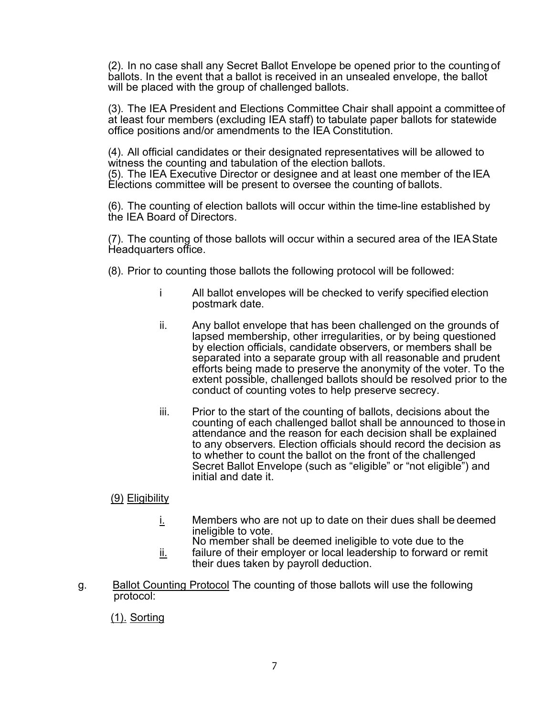(2). In no case shall any Secret Ballot Envelope be opened prior to the counting of ballots. In the event that a ballot is received in an unsealed envelope, the ballot will be placed with the group of challenged ballots.

(3). The IEA President and Elections Committee Chair shall appoint a committee of at least four members (excluding IEA staff) to tabulate paper ballots for statewide office positions and/or amendments to the IEA Constitution.

(4). All official candidates or their designated representatives will be allowed to witness the counting and tabulation of the election ballots. (5). The IEA Executive Director or designee and at least one member of the IEA Elections committee will be present to oversee the counting of ballots.

(6). The counting of election ballots will occur within the time-line established by the IEA Board of Directors.

(7). The counting of those ballots will occur within a secured area of the IEAState Headquarters office.

- (8). Prior to counting those ballots the following protocol will be followed:
	- i All ballot envelopes will be checked to verify specified election postmark date.
	- ii. Any ballot envelope that has been challenged on the grounds of lapsed membership, other irregularities, or by being questioned by election officials, candidate observers, or members shall be separated into a separate group with all reasonable and prudent efforts being made to preserve the anonymity of the voter. To the extent possible, challenged ballots should be resolved prior to the conduct of counting votes to help preserve secrecy.
	- iii. Prior to the start of the counting of ballots, decisions about the counting of each challenged ballot shall be announced to those in attendance and the reason for each decision shall be explained to any observers. Election officials should record the decision as to whether to count the ballot on the front of the challenged Secret Ballot Envelope (such as "eligible" or "not eligible") and initial and date it.

(9) Eligibility

 $i$ . Members who are not up to date on their dues shall be deemed ineligible to vote.

No member shall be deemed ineligible to vote due to the  $i$  failure of their employer or local leadership to forward or remit

- their dues taken by payroll deduction.
- g. Ballot Counting Protocol The counting of those ballots will use the following protocol:

(1). Sorting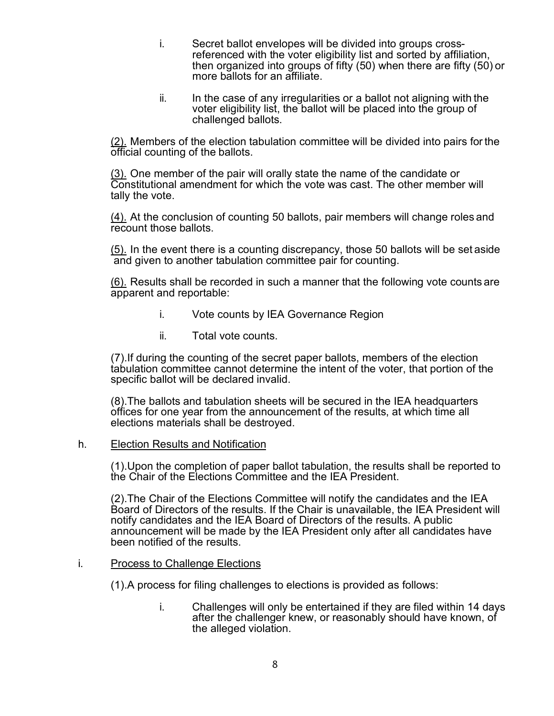- i. Secret ballot envelopes will be divided into groups crossreferenced with the voter eligibility list and sorted by affiliation, then organized into groups of fifty (50) when there are fifty (50) or more ballots for an affiliate.
- ii. In the case of any irregularities or a ballot not aligning with the voter eligibility list, the ballot will be placed into the group of challenged ballots.

(2). Members of the election tabulation committee will be divided into pairs for the official counting of the ballots.

(3). One member of the pair will orally state the name of the candidate or Constitutional amendment for which the vote was cast. The other member will tally the vote.

(4). At the conclusion of counting 50 ballots, pair members will change roles and recount those ballots.

(5). In the event there is a counting discrepancy, those 50 ballots will be set aside and given to another tabulation committee pair for counting.

(6). Results shall be recorded in such a manner that the following vote counts are apparent and reportable:

- i. Vote counts by IEA Governance Region
- ii. Total vote counts.

(7).If during the counting of the secret paper ballots, members of the election tabulation committee cannot determine the intent of the voter, that portion of the specific ballot will be declared invalid.

(8).The ballots and tabulation sheets will be secured in the IEA headquarters offices for one year from the announcement of the results, at which time all elections materials shall be destroyed.

### h. Election Results and Notification

(1).Upon the completion of paper ballot tabulation, the results shall be reported to the Chair of the Elections Committee and the IEA President.

(2).The Chair of the Elections Committee will notify the candidates and the IEA Board of Directors of the results. If the Chair is unavailable, the IEA President will notify candidates and the IEA Board of Directors of the results. A public announcement will be made by the IEA President only after all candidates have been notified of the results.

### i. Process to Challenge Elections

(1).A process for filing challenges to elections is provided as follows:

i. Challenges will only be entertained if they are filed within 14 days after the challenger knew, or reasonably should have known, of the alleged violation.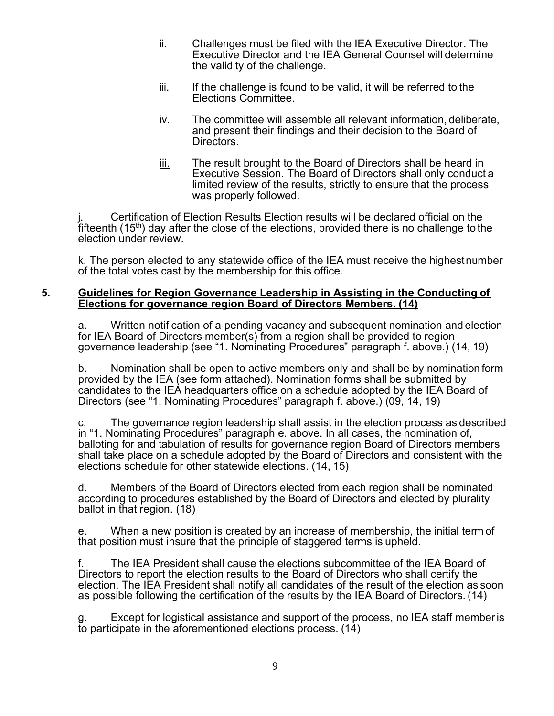- ii. Challenges must be filed with the IEA Executive Director. The Executive Director and the IEA General Counsel will determine the validity of the challenge.
- iii. If the challenge is found to be valid, it will be referred to the Elections Committee.
- iv. The committee will assemble all relevant information, deliberate, and present their findings and their decision to the Board of Directors.
- $\frac{iii.}{ii.}$  The result brought to the Board of Directors shall be heard in Executive Session. The Board of Directors shall only conduct a limited review of the results, strictly to ensure that the process was properly followed.

Certification of Election Results Election results will be declared official on the fifteenth  $(15<sup>th</sup>)$  day after the close of the elections, provided there is no challenge to the election under review.

k. The person elected to any statewide office of the IEA must receive the highestnumber of the total votes cast by the membership for this office.

#### **5. Guidelines for Region Governance Leadership in Assisting in the Conducting of Elections for governance region Board of Directors Members. (14)**

a. Written notification of a pending vacancy and subsequent nomination and election for IEA Board of Directors member(s) from a region shall be provided to region governance leadership (see "1. Nominating Procedures" paragraph f. above.) (14, 19)

b. Nomination shall be open to active members only and shall be by nomination form provided by the IEA (see form attached). Nomination forms shall be submitted by candidates to the IEA headquarters office on a schedule adopted by the IEA Board of Directors (see "1. Nominating Procedures" paragraph f. above.) (09, 14, 19)

c. The governance region leadership shall assist in the election process as described in "1. Nominating Procedures" paragraph e. above. In all cases, the nomination of, balloting for and tabulation of results for governance region Board of Directors members shall take place on a schedule adopted by the Board of Directors and consistent with the elections schedule for other statewide elections. (14, 15)

d. Members of the Board of Directors elected from each region shall be nominated according to procedures established by the Board of Directors and elected by plurality ballot in that region. (18)

e. When a new position is created by an increase of membership, the initial term of that position must insure that the principle of staggered terms is upheld.

f. The IEA President shall cause the elections subcommittee of the IEA Board of Directors to report the election results to the Board of Directors who shall certify the election. The IEA President shall notify all candidates of the result of the election as soon as possible following the certification of the results by the IEA Board of Directors. (14)

Except for logistical assistance and support of the process, no IEA staff member is to participate in the aforementioned elections process. (14)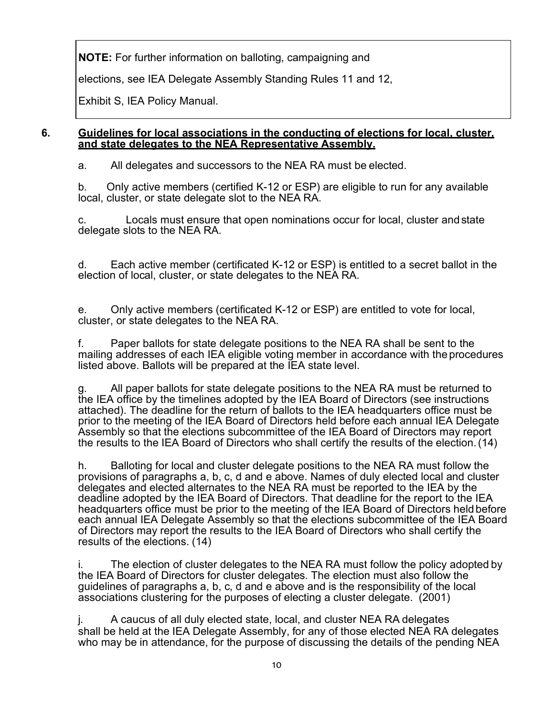**NOTE:** For further information on balloting, campaigning and

elections, see IEA Delegate Assembly Standing Rules 11 and 12,

Exhibit S, IEA Policy Manual.

### **6. Guidelines for local associations in the conducting of elections for local, cluster, and state delegates to the NEA Representative Assembly.**

a. All delegates and successors to the NEA RA must be elected.

b. Only active members (certified K-12 or ESP) are eligible to run for any available local, cluster, or state delegate slot to the NEA RA.

c. Locals must ensure that open nominations occur for local, cluster and state delegate slots to the NEA RA.

d. Each active member (certificated K-12 or ESP) is entitled to a secret ballot in the election of local, cluster, or state delegates to the NEA RA.

e. Only active members (certificated K-12 or ESP) are entitled to vote for local, cluster, or state delegates to the NEA RA.

f. Paper ballots for state delegate positions to the NEA RA shall be sent to the mailing addresses of each IEA eligible voting member in accordance with the procedures listed above. Ballots will be prepared at the IEA state level.

g. All paper ballots for state delegate positions to the NEA RA must be returned to the IEA office by the timelines adopted by the IEA Board of Directors (see instructions attached). The deadline for the return of ballots to the IEA headquarters office must be prior to the meeting of the IEA Board of Directors held before each annual IEA Delegate Assembly so that the elections subcommittee of the IEA Board of Directors may report the results to the IEA Board of Directors who shall certify the results of the election. (14)

h. Balloting for local and cluster delegate positions to the NEA RA must follow the provisions of paragraphs a, b, c, d and e above. Names of duly elected local and cluster delegates and elected alternates to the NEA RA must be reported to the IEA by the deadline adopted by the IEA Board of Directors. That deadline for the report to the IEA headquarters office must be prior to the meeting of the IEA Board of Directors held before each annual IEA Delegate Assembly so that the elections subcommittee of the IEA Board of Directors may report the results to the IEA Board of Directors who shall certify the results of the elections. (14)

i. The election of cluster delegates to the NEA RA must follow the policy adopted by the IEA Board of Directors for cluster delegates. The election must also follow the guidelines of paragraphs a, b, c, d and e above and is the responsibility of the local associations clustering for the purposes of electing a cluster delegate. (2001)

j. A caucus of all duly elected state, local, and cluster NEA RA delegates shall be held at the IEA Delegate Assembly, for any of those elected NEA RA delegates who may be in attendance, for the purpose of discussing the details of the pending NEA